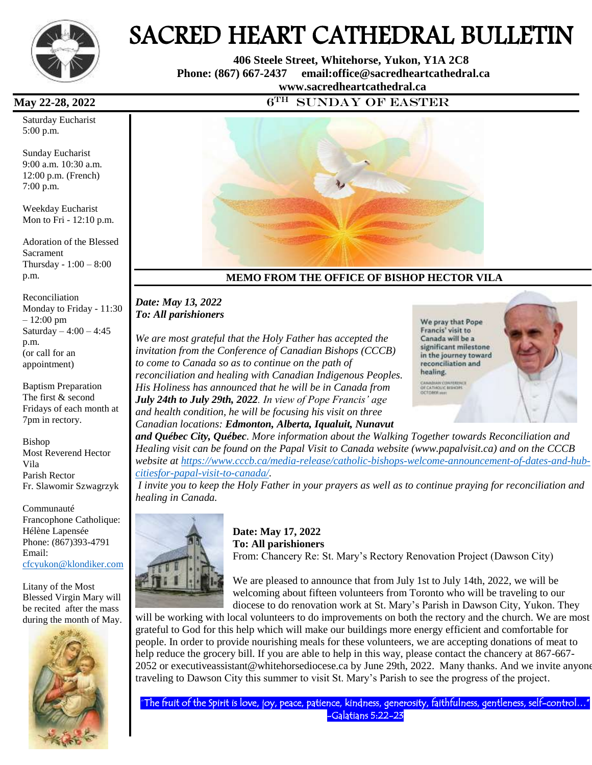

# SACRED HEART CATHEDRAL BULLETIN

 **406 Steele Street, Whitehorse, Yukon, Y1A 2C8 Phone: (867) 667-2437 email:office@sacredheartcathedral.ca [www.sacredheartcathedral.ca](http://www.sacredheartcathedral.ca/)**

**May 22-28, 2022** 6<sup>TH</sup>

Saturday Eucharist 5:00 p.m.

Sunday Eucharist 9:00 a.m. 10:30 a.m. 12:00 p.m. (French) 7:00 p.m.

Weekday Eucharist Mon to Fri - 12:10 p.m.

Adoration of the Blessed Sacrament Thursday - 1:00 – 8:00 p.m.

Reconciliation Monday to Friday - 11:30 – 12:00 pm Saturday  $-4:00 - 4:45$ p.m. (or call for an appointment)

Baptism Preparation The first & second Fridays of each month at 7pm in rectory.

Bishop Most Reverend Hector Vila Parish Rector Fr. Slawomir Szwagrzyk

Communauté Francophone Catholique: Hélène Lapensée Phone: (867)393-4791 Email: [cfcyukon@klondiker.com](mailto:cfcyukon@klondiker.com)

Litany of the Most Blessed Virgin Mary will be recited after the mass during the month of May.





# **MEMO FROM THE OFFICE OF BISHOP HECTOR VILA**

#### *Date: May 13, 2022 To: All parishioners*

*We are most grateful that the Holy Father has accepted the invitation from the Conference of Canadian Bishops (CCCB) to come to Canada so as to continue on the path of reconciliation and healing with Canadian Indigenous Peoples. His Holiness has announced that he will be in Canada from July 24th to July 29th, 2022. In view of Pope Francis' age and health condition, he will be focusing his visit on three Canadian locations: Edmonton, Alberta, Iqualuit, Nunavut*

We pray that Pope Francis' visit to Canada will be a significant milestone in the journey toward reconciliation and healing. CANADIAN CONFORMER<br>OF CATHOLIC BIRKINS<br>OCTOBER JUST

*and Québec City, Québec. More information about the Walking Together towards Reconciliation and Healing visit can be found on the Papal Visit to Canada website (www.papalvisit.ca) and on the CCCB website at [https://www.cccb.ca/media-release/catholic-bishops-welcome-announcement-of-dates-and-hub](https://www.cccb.ca/media-release/catholic-bishops-welcome-announcement-of-dates-and-hub-citiesfor-papal-visit-to-canada/)[citiesfor-papal-visit-to-canada/.](https://www.cccb.ca/media-release/catholic-bishops-welcome-announcement-of-dates-and-hub-citiesfor-papal-visit-to-canada/)*

*I invite you to keep the Holy Father in your prayers as well as to continue praying for reconciliation and healing in Canada.*



**Date: May 17, 2022 To: All parishioners**  From: Chancery Re: St. Mary's Rectory Renovation Project (Dawson City)

We are pleased to announce that from July 1st to July 14th, 2022, we will be welcoming about fifteen volunteers from Toronto who will be traveling to our diocese to do renovation work at St. Mary's Parish in Dawson City, Yukon. They

will be working with local volunteers to do improvements on both the rectory and the church. We are most grateful to God for this help which will make our buildings more energy efficient and comfortable for people. In order to provide nourishing meals for these volunteers, we are accepting donations of meat to help reduce the grocery bill. If you are able to help in this way, please contact the chancery at 867-667-2052 or executiveassistant@whitehorsediocese.ca by June 29th, 2022. Many thanks. And we invite anyone traveling to Dawson City this summer to visit St. Mary's Parish to see the progress of the project.

"The fruit of the Spirit is love, joy, peace, patience, kindness, generosity, faithfulness, gentleness, self-control…" -Galatians 5:22-23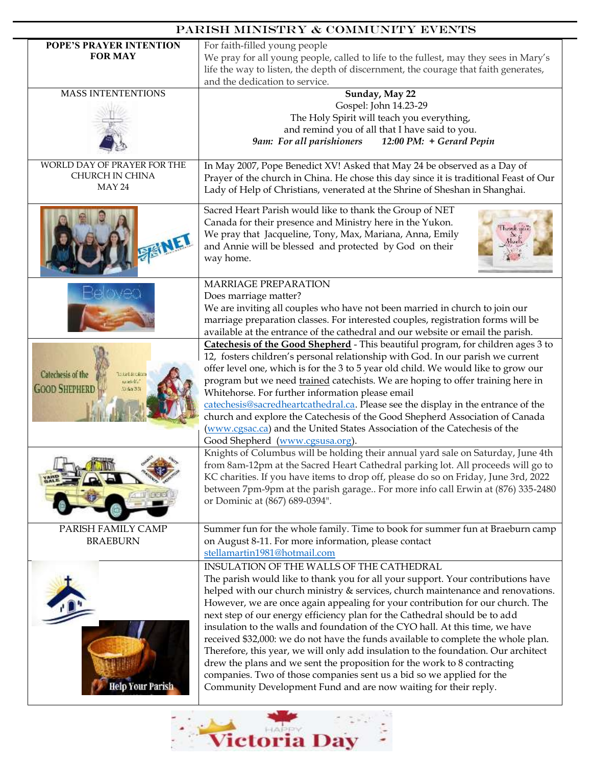| PARISH MINISTRY & COMMUNITY EVENTS                                            |                                                                                                                                                                                                                                                                                                                                                                                                                                                                                                                                                                                                                                                                                                                                                                                                                                                                                                                                                                                                     |  |
|-------------------------------------------------------------------------------|-----------------------------------------------------------------------------------------------------------------------------------------------------------------------------------------------------------------------------------------------------------------------------------------------------------------------------------------------------------------------------------------------------------------------------------------------------------------------------------------------------------------------------------------------------------------------------------------------------------------------------------------------------------------------------------------------------------------------------------------------------------------------------------------------------------------------------------------------------------------------------------------------------------------------------------------------------------------------------------------------------|--|
| POPE'S PRAYER INTENTION<br><b>FOR MAY</b>                                     | For faith-filled young people<br>We pray for all young people, called to life to the fullest, may they sees in Mary's<br>life the way to listen, the depth of discernment, the courage that faith generates,<br>and the dedication to service.                                                                                                                                                                                                                                                                                                                                                                                                                                                                                                                                                                                                                                                                                                                                                      |  |
| <b>MASS INTENTENTIONS</b>                                                     | Sunday, May 22<br>Gospel: John 14.23-29<br>The Holy Spirit will teach you everything,<br>and remind you of all that I have said to you.<br>12:00 PM: + Gerard Pepin<br>9am: For all parishioners                                                                                                                                                                                                                                                                                                                                                                                                                                                                                                                                                                                                                                                                                                                                                                                                    |  |
| WORLD DAY OF PRAYER FOR THE<br>CHURCH IN CHINA<br>MAY 24                      | In May 2007, Pope Benedict XV! Asked that May 24 be observed as a Day of<br>Prayer of the church in China. He chose this day since it is traditional Feast of Our<br>Lady of Help of Christians, venerated at the Shrine of Sheshan in Shanghai.                                                                                                                                                                                                                                                                                                                                                                                                                                                                                                                                                                                                                                                                                                                                                    |  |
|                                                                               | Sacred Heart Parish would like to thank the Group of NET<br>Canada for their presence and Ministry here in the Yukon.<br>hasnik not<br>We pray that Jacqueline, Tony, Max, Mariana, Anna, Emily<br>and Annie will be blessed and protected by God on their<br>way home.                                                                                                                                                                                                                                                                                                                                                                                                                                                                                                                                                                                                                                                                                                                             |  |
| Catechesis of the<br><b>Stiel-Incaling</b><br>melok."<br><b>GOOD SHEPHERD</b> | <b>MARRIAGE PREPARATION</b><br>Does marriage matter?<br>We are inviting all couples who have not been married in church to join our<br>marriage preparation classes. For interested couples, registration forms will be<br>available at the entrance of the cathedral and our website or email the parish.<br>Catechesis of the Good Shepherd - This beautiful program, for children ages 3 to<br>12, fosters children's personal relationship with God. In our parish we current<br>offer level one, which is for the 3 to 5 year old child. We would like to grow our<br>program but we need trained catechists. We are hoping to offer training here in<br>Whitehorse. For further information please email<br>catechesis@sacredheartcathedral.ca. Please see the display in the entrance of the<br>church and explore the Catechesis of the Good Shepherd Association of Canada<br>(www.cgsac.ca) and the United States Association of the Catechesis of the<br>Good Shepherd (www.cgsusa.org). |  |
|                                                                               | Knights of Columbus will be holding their annual yard sale on Saturday, June 4th<br>from 8am-12pm at the Sacred Heart Cathedral parking lot. All proceeds will go to<br>KC charities. If you have items to drop off, please do so on Friday, June 3rd, 2022<br>between 7pm-9pm at the parish garage For more info call Erwin at (876) 335-2480<br>or Dominic at (867) 689-0394".                                                                                                                                                                                                                                                                                                                                                                                                                                                                                                                                                                                                                    |  |
| PARISH FAMILY CAMP<br><b>BRAEBURN</b>                                         | Summer fun for the whole family. Time to book for summer fun at Braeburn camp<br>on August 8-11. For more information, please contact<br>stellamartin1981@hotmail.com                                                                                                                                                                                                                                                                                                                                                                                                                                                                                                                                                                                                                                                                                                                                                                                                                               |  |
| Help Your Parish                                                              | INSULATION OF THE WALLS OF THE CATHEDRAL<br>The parish would like to thank you for all your support. Your contributions have<br>helped with our church ministry & services, church maintenance and renovations.<br>However, we are once again appealing for your contribution for our church. The<br>next step of our energy efficiency plan for the Cathedral should be to add<br>insulation to the walls and foundation of the CYO hall. At this time, we have<br>received \$32,000: we do not have the funds available to complete the whole plan.<br>Therefore, this year, we will only add insulation to the foundation. Our architect<br>drew the plans and we sent the proposition for the work to 8 contracting<br>companies. Two of those companies sent us a bid so we applied for the<br>Community Development Fund and are now waiting for their reply.                                                                                                                                 |  |

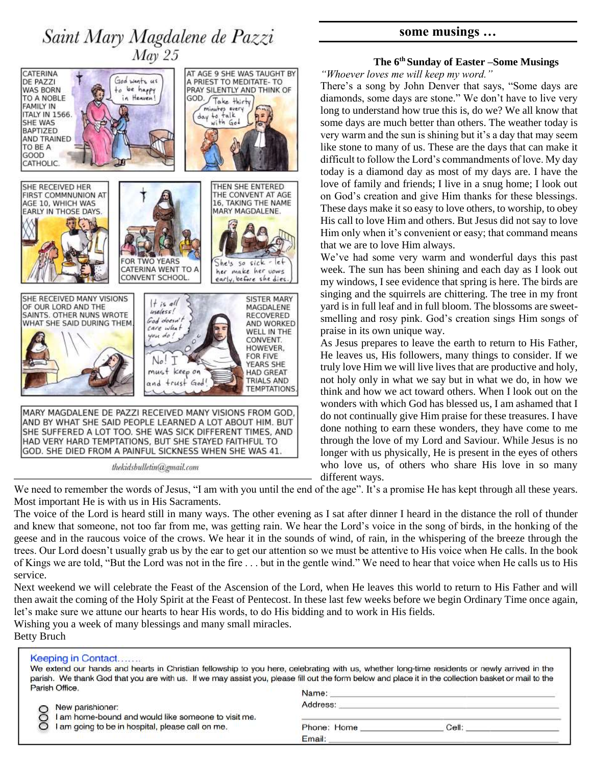



GOD. SHE DIED FROM A PAINFUL SICKNESS WHEN SHE WAS 41. thekidsbulletin@gmail.com

# **some musings …**

#### **The 6th Sunday of Easter –Some Musings**

*"Whoever loves me will keep my word."*

There's a song by John Denver that says, "Some days are diamonds, some days are stone." We don't have to live very long to understand how true this is, do we? We all know that some days are much better than others. The weather today is very warm and the sun is shining but it's a day that may seem like stone to many of us. These are the days that can make it difficult to follow the Lord's commandments of love. My day today is a diamond day as most of my days are. I have the love of family and friends; I live in a snug home; I look out on God's creation and give Him thanks for these blessings. These days make it so easy to love others, to worship, to obey His call to love Him and others. But Jesus did not say to love Him only when it's convenient or easy; that command means that we are to love Him always.

We've had some very warm and wonderful days this past week. The sun has been shining and each day as I look out my windows, I see evidence that spring is here. The birds are singing and the squirrels are chittering. The tree in my front yard is in full leaf and in full bloom. The blossoms are sweetsmelling and rosy pink. God's creation sings Him songs of praise in its own unique way.

As Jesus prepares to leave the earth to return to His Father, He leaves us, His followers, many things to consider. If we truly love Him we will live lives that are productive and holy, not holy only in what we say but in what we do, in how we think and how we act toward others. When I look out on the wonders with which God has blessed us, I am ashamed that I do not continually give Him praise for these treasures. I have done nothing to earn these wonders, they have come to me through the love of my Lord and Saviour. While Jesus is no longer with us physically, He is present in the eyes of others who love us, of others who share His love in so many different ways.

We need to remember the words of Jesus, "I am with you until the end of the age". It's a promise He has kept through all these years. Most important He is with us in His Sacraments.

The voice of the Lord is heard still in many ways. The other evening as I sat after dinner I heard in the distance the roll of thunder and knew that someone, not too far from me, was getting rain. We hear the Lord's voice in the song of birds, in the honking of the geese and in the raucous voice of the crows. We hear it in the sounds of wind, of rain, in the whispering of the breeze through the trees. Our Lord doesn't usually grab us by the ear to get our attention so we must be attentive to His voice when He calls. In the book of Kings we are told, "But the Lord was not in the fire . . . but in the gentle wind." We need to hear that voice when He calls us to His service.

Next weekend we will celebrate the Feast of the Ascension of the Lord, when He leaves this world to return to His Father and will then await the coming of the Holy Spirit at the Feast of Pentecost. In these last few weeks before we begin Ordinary Time once again, let's make sure we attune our hearts to hear His words, to do His bidding and to work in His fields.

Wishing you a week of many blessings and many small miracles. Betty Bruch

| Keeping in Contact<br>Parish Office.                                    | We extend our hands and hearts in Christian fellowship to you here, celebrating with us, whether long-time residents or newly arrived in the<br>parish. We thank God that you are with us. If we may assist you, please fill out the form below and place it in the collection basket or mail to the<br>Name: |
|-------------------------------------------------------------------------|---------------------------------------------------------------------------------------------------------------------------------------------------------------------------------------------------------------------------------------------------------------------------------------------------------------|
| New parishioner:<br>I am home-bound and would like someone to visit me. | Address:                                                                                                                                                                                                                                                                                                      |
| am going to be in hospital, please call on me.                          | Phone: Home<br>Cell:<br>Email:                                                                                                                                                                                                                                                                                |